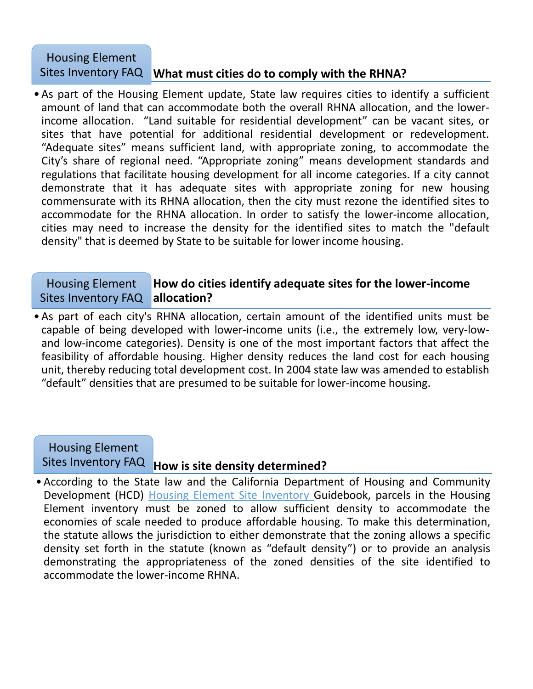## Sites Inventory FAQ Mhat must cities do to comply with the RHNA? Housing Element

•As part of the Housing Element update, State law requires cities to identify a sufficient amount of land that can accommodate both the overall RHNA allocation, and the lowerincome allocation. "Land suitable for residential development" can be vacant sites, or sites that have potential for additional residential development or redevelopment. "Adequate sites" means sufficient land, with appropriate zoning, to accommodate the City's share of regional need. "Appropriate zoning" means development standards and regulations that facilitate housing development for all income categories. If a city cannot demonstrate that it has adequate sites with appropriate zoning for new housing commensurate with its RHNA allocation, then the city must rezone the identified sites to accommodate for the RHNA allocation. In order to satisfy the lower-income allocation, cities may need to increase the density for the identified sites to match the "default density" that is deemed by State to be suitable for lower income housing.

## **How do cities identify adequate sites for the lower-income allocation?** Housing Element Sites Inventory FAQ

•As part of each city's RHNA allocation, certain amount of the identified units must be capable of being developed with lower-income units (i.e., the extremely low, very-lowand low-income categories). Density is one of the most important factors that affect the feasibility of affordable housing. Higher density reduces the land cost for each housing unit, thereby reducing total development cost. In 2004 state law was amended to establish "default" densities that are presumed to be suitable for lower-income housing.



•According to the State law and the California Department of Housing and Community Development (HCD) Housing Element Site Inventory Guidebook, parcels in the Housing Element inventory must be zoned to allow sufficient density to accommodate the economies of scale needed to produce affordable housing. To make this determination, the statute allows the jurisdiction to either demonstrate that the zoning allows a specific density set forth in the statute (known as "default density") or to provide an analysis demonstrating the appropriateness of the zoned densities of the site identified to accommodate the lower-income RHNA.